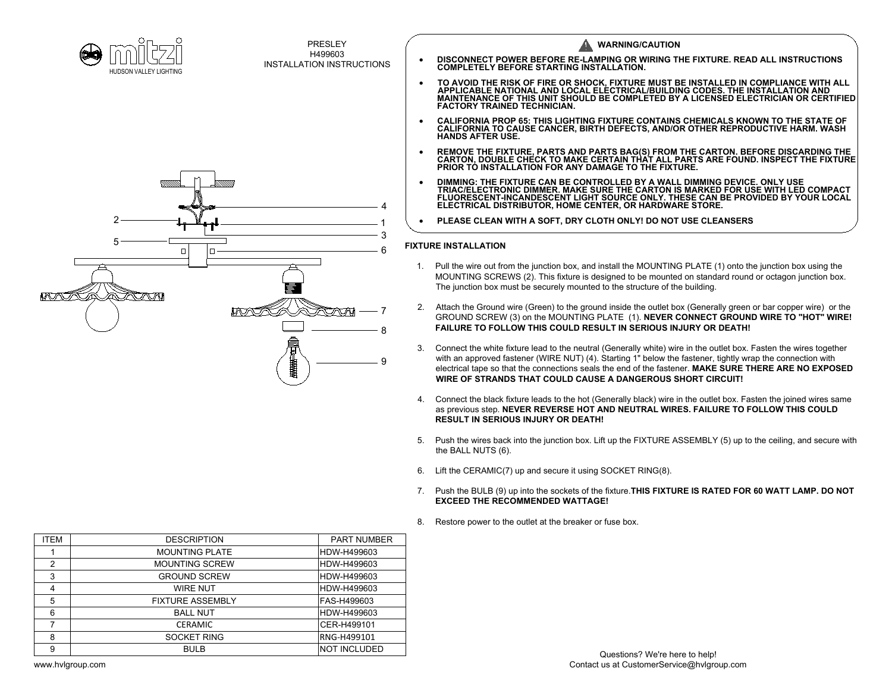



| PRESLEY<br><b>WARNING/CAUTION</b><br>H499603<br>DISCONNECT POWER BEFORE RE-LAMPING OR WIRING THE FIXTURE. READ ALL INSTRUCTIONS COMPLETELY BEFORE STARTING INSTALLATION.<br><b>INSTALLATION INSTRUCTIONS</b><br>HUDSON VALLEY LIGHTING<br>TO AVOID THE RISK OF FIRE OR SHOCK, FIXTURE MUST BE INSTALLED IN COMPLIANCE WITH ALL<br>APPLICABLE NATIONAL AND LOCAL ELECTRICAL/BUILDING CODES. THE INSTALLATION AND<br>MAINTENANCE OF THIS UNIT SHOULD BE COMPLETED BY A LICENSED<br>CALIFORNIA PROP 65: THIS LIGHTING FIXTURE CONTAINS CHEMICALS KNOWN TO THE STATE OF CALIFORNIA TO CAUSE CANCER, BIRTH DEFECTS, AND/OR OTHER REPRODUCTIVE HARM. WASH<br><b>HANDS AFTER USE.</b><br>REMOVE THE FIXTURE, PARTS AND PARTS BAG(S) FROM THE CARTON. BEFORE DISCARDING THE CARTON, DOUBLE CHECK TO MAKE CERTAIN THAT ALL PARTS ARE FOUND. INSPECT THE FIXTURE<br>PRIOR TO INSTALLATION FOR ANY DAMAGE TO THE FIXTURE.<br>DIMMING: THE FIXTURE CAN BE CONTROLLED BY A WALL DIMMING DEVICE. ONLY USE<br>TRIAC/ELECTRONIC DIMMER. MAKE SURE THE CARTON IS MARKED FOR USE WITH LED COMPACT<br>FLUORESCENT-INCANDESCENT LIGHT SOURCE ONLY. THESE CAN BE PROVIDED BY YOUR LOCAL<br>ELECTRICAL DISTRIBUTOR, HOME CENTER, OR HARDWARE STORE. |  |
|-------------------------------------------------------------------------------------------------------------------------------------------------------------------------------------------------------------------------------------------------------------------------------------------------------------------------------------------------------------------------------------------------------------------------------------------------------------------------------------------------------------------------------------------------------------------------------------------------------------------------------------------------------------------------------------------------------------------------------------------------------------------------------------------------------------------------------------------------------------------------------------------------------------------------------------------------------------------------------------------------------------------------------------------------------------------------------------------------------------------------------------------------------------------------------------------------------------------------------|--|
|                                                                                                                                                                                                                                                                                                                                                                                                                                                                                                                                                                                                                                                                                                                                                                                                                                                                                                                                                                                                                                                                                                                                                                                                                               |  |
|                                                                                                                                                                                                                                                                                                                                                                                                                                                                                                                                                                                                                                                                                                                                                                                                                                                                                                                                                                                                                                                                                                                                                                                                                               |  |
|                                                                                                                                                                                                                                                                                                                                                                                                                                                                                                                                                                                                                                                                                                                                                                                                                                                                                                                                                                                                                                                                                                                                                                                                                               |  |
| PLEASE CLEAN WITH A SOFT, DRY CLOTH ONLY! DO NOT USE CLEANSERS                                                                                                                                                                                                                                                                                                                                                                                                                                                                                                                                                                                                                                                                                                                                                                                                                                                                                                                                                                                                                                                                                                                                                                |  |
|                                                                                                                                                                                                                                                                                                                                                                                                                                                                                                                                                                                                                                                                                                                                                                                                                                                                                                                                                                                                                                                                                                                                                                                                                               |  |
| <b>FIXTURE INSTALLATION</b><br>O<br>п<br>Pull the wire out from the junction box, and install the MOUNTING PLATE (1) onto the junction box using the<br>1.<br>MOUNTING SCREWS (2). This fixture is designed to be mounted on standard round or octagon junction box.<br>The junction box must be securely mounted to the structure of the building.                                                                                                                                                                                                                                                                                                                                                                                                                                                                                                                                                                                                                                                                                                                                                                                                                                                                           |  |
| ZOM<br>MVNJN<br>Attach the Ground wire (Green) to the ground inside the outlet box (Generally green or bar copper wire) or the<br>MVNTS<br>GROUND SCREW (3) on the MOUNTING PLATE (1). NEVER CONNECT GROUND WIRE TO "HOT" WIRE!<br><b>FAILURE TO FOLLOW THIS COULD RESULT IN SERIOUS INJURY OR DEATH!</b>                                                                                                                                                                                                                                                                                                                                                                                                                                                                                                                                                                                                                                                                                                                                                                                                                                                                                                                     |  |
| Connect the white fixture lead to the neutral (Generally white) wire in the outlet box. Fasten the wires together<br>with an approved fastener (WIRE NUT) (4). Starting 1" below the fastener, tightly wrap the connection with<br>9<br>electrical tape so that the connections seals the end of the fastener. MAKE SURE THERE ARE NO EXPOSED<br><b>WIRE OF STRANDS THAT COULD CAUSE A DANGEROUS SHORT CIRCUIT!</b>                                                                                                                                                                                                                                                                                                                                                                                                                                                                                                                                                                                                                                                                                                                                                                                                           |  |
| Connect the black fixture leads to the hot (Generally black) wire in the outlet box. Fasten the joined wires same<br>4.<br>as previous step. NEVER REVERSE HOT AND NEUTRAL WIRES. FAILURE TO FOLLOW THIS COULD<br><b>RESULT IN SERIOUS INJURY OR DEATH!</b>                                                                                                                                                                                                                                                                                                                                                                                                                                                                                                                                                                                                                                                                                                                                                                                                                                                                                                                                                                   |  |
| Push the wires back into the junction box. Lift up the FIXTURE ASSEMBLY (5) up to the ceiling, and secure with<br>5.<br>the BALL NUTS (6).                                                                                                                                                                                                                                                                                                                                                                                                                                                                                                                                                                                                                                                                                                                                                                                                                                                                                                                                                                                                                                                                                    |  |
| Lift the CERAMIC(7) up and secure it using SOCKET RING(8).<br>6.                                                                                                                                                                                                                                                                                                                                                                                                                                                                                                                                                                                                                                                                                                                                                                                                                                                                                                                                                                                                                                                                                                                                                              |  |
| Push the BULB (9) up into the sockets of the fixture. THIS FIXTURE IS RATED FOR 60 WATT LAMP. DO NOT<br>7.<br><b>EXCEED THE RECOMMENDED WATTAGE!</b>                                                                                                                                                                                                                                                                                                                                                                                                                                                                                                                                                                                                                                                                                                                                                                                                                                                                                                                                                                                                                                                                          |  |
| Restore power to the outlet at the breaker or fuse box.<br>8.                                                                                                                                                                                                                                                                                                                                                                                                                                                                                                                                                                                                                                                                                                                                                                                                                                                                                                                                                                                                                                                                                                                                                                 |  |
| <b>ITEM</b><br><b>DESCRIPTION</b><br><b>PART NUMBER</b>                                                                                                                                                                                                                                                                                                                                                                                                                                                                                                                                                                                                                                                                                                                                                                                                                                                                                                                                                                                                                                                                                                                                                                       |  |
| <b>MOUNTING PLATE</b><br>HDW-H499603<br>$\overline{1}$                                                                                                                                                                                                                                                                                                                                                                                                                                                                                                                                                                                                                                                                                                                                                                                                                                                                                                                                                                                                                                                                                                                                                                        |  |
| $\overline{2}$<br><b>MOUNTING SCREW</b><br>HDW-H499603                                                                                                                                                                                                                                                                                                                                                                                                                                                                                                                                                                                                                                                                                                                                                                                                                                                                                                                                                                                                                                                                                                                                                                        |  |
| 3<br><b>GROUND SCREW</b><br>HDW-H499603                                                                                                                                                                                                                                                                                                                                                                                                                                                                                                                                                                                                                                                                                                                                                                                                                                                                                                                                                                                                                                                                                                                                                                                       |  |
| 4<br><b>WIRE NUT</b><br>HDW-H499603                                                                                                                                                                                                                                                                                                                                                                                                                                                                                                                                                                                                                                                                                                                                                                                                                                                                                                                                                                                                                                                                                                                                                                                           |  |
| 5<br><b>FIXTURE ASSEMBLY</b><br>FAS-H499603                                                                                                                                                                                                                                                                                                                                                                                                                                                                                                                                                                                                                                                                                                                                                                                                                                                                                                                                                                                                                                                                                                                                                                                   |  |
| 6<br><b>BALL NUT</b><br>HDW-H499603                                                                                                                                                                                                                                                                                                                                                                                                                                                                                                                                                                                                                                                                                                                                                                                                                                                                                                                                                                                                                                                                                                                                                                                           |  |
| $\overline{7}$<br><b>CERAMIC</b><br>CER-H499101                                                                                                                                                                                                                                                                                                                                                                                                                                                                                                                                                                                                                                                                                                                                                                                                                                                                                                                                                                                                                                                                                                                                                                               |  |
| SOCKET RING<br>8<br>RNG-H499101<br>9<br><b>BULB</b><br>NOT INCLUDED                                                                                                                                                                                                                                                                                                                                                                                                                                                                                                                                                                                                                                                                                                                                                                                                                                                                                                                                                                                                                                                                                                                                                           |  |
| Questions? We're here to help!<br>Contact us at CustomerService@hvlgroup.com<br>www.hvlgroup.com                                                                                                                                                                                                                                                                                                                                                                                                                                                                                                                                                                                                                                                                                                                                                                                                                                                                                                                                                                                                                                                                                                                              |  |

- 
- 
- GROUND SCREW (3) on the MOUNTING PLATE (1). NEVER CONNECT GROUND WIRE TO "HOT" WIRE!<br>FAILURE TO FOLLOW THIS COULD RESULT IN SERIOUS INJURY OR DEATH!<br>Connect the white fixture lead to the neutral (Generally white) wire in t electrical tape so that the connections seals the end of the fastener. MAKE SURE THERE ARE NO EXPOSED electrical tape so that the connections seals the end of the fastener. **MAKE SURE THERE ARE NO EXPOSED**<br>WIRE OF STRANDS THAT COULD CAUSE A DANGEROUS SHORT CIRCUIT!<br>4. Connect the black fixture leads to the hot (Generally b
- as previous step. NEVER REVERSE HOT AND NEUTRAL WIRES. FAILURE TO FOLLOW THIS COULD RESULT IN SERIOUS INJURY OR DEATH! as previous step. NEVER REVERSE HOT AND NEUTRAL WIRES. FAILURE TO FOLLOW THIS COULD<br>RESULT IN SERIOUS INJURY OR DEATH!<br>5. Push the wires back into the junction box. Lift up the FIXTURE ASSEMBLY (5) up to the ceiling, and s
- Push the wires bac<mark>k</mark><br>the BALL NUTS (6).
- 6. Lift the CERAMIC(7) up and secure it using SOCKET RING(8).
- The BALL NOTO (0).<br>6. Lift the CERAMIC(7) up and secure it using SOCKET RING(8).<br>7. Push the BULB (9) up into the sockets of the fixture.**THIS FIXTURE IS RATED FOR 60 WATT LAMP. DO NOT**<br>**EXCEED THE RECOMMENDED WATTA**
- 8. Restore power to the outlet at the breaker or fuse box.

| <b>ITEM</b> | <b>DESCRIPTION</b>      | <b>PART NUMBER</b>  |
|-------------|-------------------------|---------------------|
|             | <b>MOUNTING PLATE</b>   | HDW-H499603         |
| 2           | <b>MOUNTING SCREW</b>   | HDW-H499603         |
| 3           | <b>GROUND SCREW</b>     | HDW-H499603         |
| 4           | <b>WIRE NUT</b>         | HDW-H499603         |
| 5           | <b>FIXTURE ASSEMBLY</b> | FAS-H499603         |
| 6           | <b>BALL NUT</b>         | HDW-H499603         |
| 7           | <b>CERAMIC</b>          | CER-H499101         |
| 8           | <b>SOCKET RING</b>      | RNG-H499101         |
| 9           | <b>BULB</b>             | <b>NOT INCLUDED</b> |